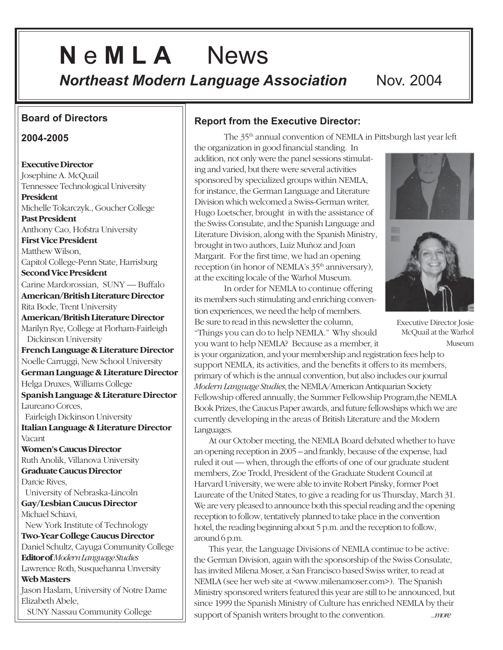# **N** e **M L A** News

**Northeast Modern Language Association Nov. 2004** 

### **Board of Directors**

#### **2004-2005**

**Executive Director** Josephine A. McQuail Tennessee Technological University **President** Michelle Tokarczyk., Goucher College **Past President** Anthony Cao, Hofstra University **First Vice President** Matthew Wilson, Capitol College-Penn State, Harrisburg **Second Vice President** Carine Mardorossian, SUNY — Buffalo **American/British Literature Director** Rita Bode, Trent University **American/British Literature Director** Marilyn Rye, College at Florham-Fairleigh Dickinson University **French Language & Literature Director** Noelle Carruggi, New School University **German Language & Literature Director** Helga Druxes, Williams College **Spanish Language & Literature Director** Laureano Corces, Fairleigh Dickinson University **Italian Language & Literature Director** Vacant **Women's Caucus Director** Ruth Anolik, Villanova University **Graduate Caucus Director** Darcie Rives, University of Nebraska-Lincoln **Gay/Lesbian Caucus Director** Michael Schiavi, New York Institute of Technology **Two-Year College Caucus Director** Daniel Schultz, Cayuga Community College **Editor of***Modern Language Studies* Lawrence Roth, Susquehanna Unversity **Web Masters** Jason Haslam, University of Notre Dame Elizabeth Abele, SUNY Nassau Community College

### **Report from the Executive Director:**

The 35th annual convention of NEMLA in Pittsburgh last year left

the organization in good financial standing. In addition, not only were the panel sessions stimulating and varied, but there were several activities sponsored by specialized groups within NEMLA, for instance, the German Language and Literature Division which welcomed a Swiss-German writer, Hugo Loetscher, brought in with the assistance of the Swiss Consulate, and the Spanish Language and Literature Division, along with the Spanish Ministry, brought in two authors, Luiz Muñoz and Joan Margarit. For the first time, we had an opening reception (in honor of NEMLA's 35<sup>th</sup> anniversary), at the exciting locale of the Warhol Museum.

In order for NEMLA to continue offering its members such stimulating and enriching convention experiences, we need the help of members. Be sure to read in this newsletter the column,



Executive Director Josie McQuail at the Warhol Museum

"Things you can do to help NEMLA." Why should you want to help NEMLA? Because as a member, it support NEMLA, its activities, and the benefits it offers to its members, primary of which is the annual convention, but also includes our journal *Modern Language Studies*, the NEMLA/American Antiquarian Society Fellowship offered annually, the Summer Fellowship Program,the NEMLA Book Prizes, the Caucus Paper awards, and future fellowships which we are currently developing in the areas of British Literature and the Modern Languages. is your organization, and your membership and registration fees help to

At our October meeting, the NEMLA Board debated whether to have an opening reception in 2005 – and frankly, because of the expense, had ruled it out — when, through the efforts of one of our graduate student members, Zoe Trodd, President of the Graduate Student Council at Harvard University, we were able to invite Robert Pinsky, former Poet Laureate of the United States, to give a reading for us Thursday, March 31. We are very pleased to announce both this special reading and the opening reception to follow, tentatively planned to take place in the convention hotel, the reading beginning about 5 p.m. and the reception to follow, around 6 p.m.

This year, the Language Divisions of NEMLA continue to be active: the German Division, again with the sponsorship of the Swiss Consulate, has invited Milena Moser, a San Francisco based Swiss writer, to read at NEMLA (see her web site at <www.milenamoser.com>). The Spanish Ministry sponsored writers featured this year are still to be announced, but since 1999 the Spanish Ministry of Culture has enriched NEMLA by their support of Spanish writers brought to the convention. *...more*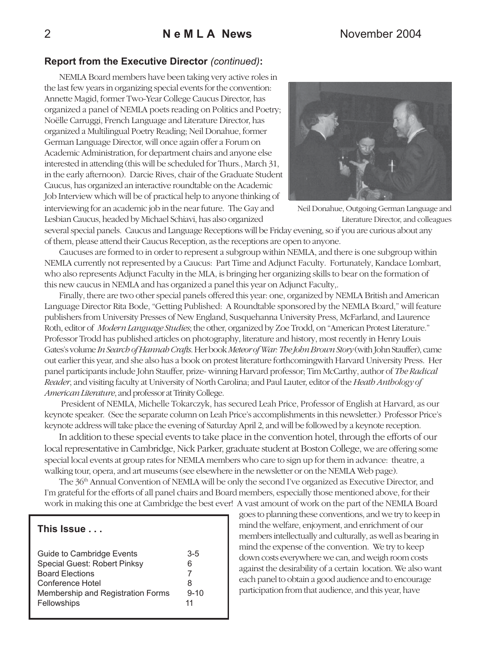### **Report from the Executive Director** *(continued)***:**

NEMLA Board members have been taking very active roles in the last few years in organizing special events for the convention: Annette Magid, former Two-Year College Caucus Director, has organized a panel of NEMLA poets reading on Politics and Poetry; Noëlle Carruggi, French Language and Literature Director, has organized a Multilingual Poetry Reading; Neil Donahue, former German Language Director, will once again offer a Forum on Academic Administration, for department chairs and anyone else interested in attending (this will be scheduled for Thurs., March 31, in the early afternoon). Darcie Rives, chair of the Graduate Student Caucus, has organized an interactive roundtable on the Academic Job Interview which will be of practical help to anyone thinking of interviewing for an academic job in the near future. The Gay and Lesbian Caucus, headed by Michael Schiavi, has also organized



Neil Donahue, Outgoing German Language and Literature Director, and colleagues

several special panels. Caucus and Language Receptions will be Friday evening, so if you are curious about any of them, please attend their Caucus Reception, as the receptions are open to anyone.

Caucuses are formed to in order to represent a subgroup within NEMLA, and there is one subgroup within NEMLA currently not represented by a Caucus: Part Time and Adjunct Faculty. Fortunately, Kandace Lombart, who also represents Adjunct Faculty in the MLA, is bringing her organizing skills to bear on the formation of this new caucus in NEMLA and has organized a panel this year on Adjunct Faculty,.

Finally, there are two other special panels offered this year: one, organized by NEMLA British and American Language Director Rita Bode, "Getting Published: A Roundtable sponsored by the NEMLA Board," will feature publishers from University Presses of New England, Susquehanna University Press, McFarland, and Laurence Roth, editor of *Modern Language Studies*; the other, organized by Zoe Trodd, on "American Protest Literature." Professor Trodd has published articles on photography, literature and history, most recently in Henry Louis Gates's volume *In Search of Hannah Crafts*. Her book *Meteor of War: The John Brown Story* (with John Stauffer), came out earlier this year, and she also has a book on protest literature forthcomingwith Harvard University Press. Her panel participants include John Stauffer, prize- winning Harvard professor; Tim McCarthy, author of *The Radical Reader*, and visiting faculty at University of North Carolina; and Paul Lauter, editor of the *Heath Anthology of American Literature*, and professor at Trinity College.

 President of NEMLA, Michelle Tokarczyk, has secured Leah Price, Professor of English at Harvard, as our keynote speaker. (See the separate column on Leah Price's accomplishments in this newsletter.) Professor Price's keynote address will take place the evening of Saturday April 2, and will be followed by a keynote reception.

 In addition to these special events to take place in the convention hotel, through the efforts of our local representative in Cambridge, Nick Parker, graduate student at Boston College, we are offering some special local events at group rates for NEMLA members who care to sign up for them in advance: theatre, a walking tour, opera, and art museums (see elsewhere in the newsletter or on the NEMLA Web page).

The 36th Annual Convention of NEMLA will be only the second I've organized as Executive Director, and I'm grateful for the efforts of all panel chairs and Board members, especially those mentioned above, for their work in making this one at Cambridge the best ever! A vast amount of work on the part of the NEMLA Board

#### **This Issue . . .**

goes to planning these conventions, and we try to keep in mind the welfare, enjoyment, and enrichment of our members intellectually and culturally, as well as bearing in mind the expense of the convention. We try to keep down costs everywhere we can, and weigh room costs against the desirability of a certain location. We also want each panel to obtain a good audience and to encourage participation from that audience, and this year, have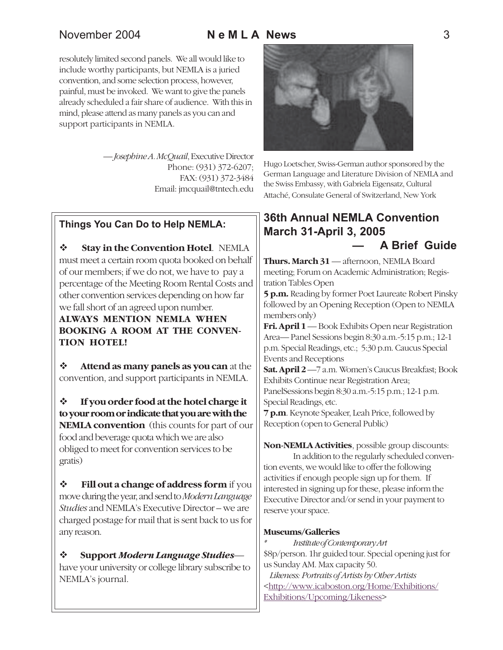resolutely limited second panels. We all would like to include worthy participants, but NEMLA is a juried convention, and some selection process, however, painful, must be invoked. We want to give the panels already scheduled a fair share of audience. With this in mind, please attend as many panels as you can and support participants in NEMLA.

> — *Josephine A. McQuail*, Executive Director Phone: (931) 372-6207; FAX: (931) 372-3484 Email: jmcquail@tntech.edu

### **Things You Can Do to Help NEMLA:**

 $\div$  **Stay in the Convention Hotel. NEMLA** must meet a certain room quota booked on behalf of our members; if we do not, we have to pay a percentage of the Meeting Room Rental Costs and other convention services depending on how far we fall short of an agreed upon number.

**ALWAYS MENTION NEMLA WHEN BOOKING A ROOM AT THE CONVEN-TION HOTEL!**

 $\div$  **Attend as many panels as you can** at the convention, and support participants in NEMLA.

! **If you order food at the hotel charge it to your room or indicate that you are with the NEMLA convention** (this counts for part of our food and beverage quota which we are also obliged to meet for convention services to be gratis)

 $\div$  **Fill out a change of address form** if you move during the year, and send to *Modern Language Studies* and NEMLA's Executive Director – we are charged postage for mail that is sent back to us for any reason.

! **Support** *Modern Language Studies* have your university or college library subscribe to NEMLA's journal.



Hugo Loetscher, Swiss-German author sponsored by the German Language and Literature Division of NEMLA and the Swiss Embassy, with Gabriela Eigensatz, Cultural Attaché, Consulate General of Switzerland, New York

### **36th Annual NEMLA Convention March 31-April 3, 2005 ó A Brief Guide**

**Thurs. March 31** — afternoon, NEMLA Board meeting; Forum on Academic Administration; Registration Tables Open

**5 p.m.** Reading by former Poet Laureate Robert Pinsky followed by an Opening Reception (Open to NEMLA members only)

**Fri. April 1** — Book Exhibits Open near Registration Area— Panel Sessions begin 8:30 a.m.-5:15 p.m.; 12-1 p.m. Special Readings, etc.; 5:30 p.m. Caucus Special Events and Receptions

**Sat. April 2** —7 a.m. Women's Caucus Breakfast; Book Exhibits Continue near Registration Area; PanelSessions begin 8:30 a.m.-5:15 p.m.; 12-1 p.m. Special Readings, etc.

**7 p.m**. Keynote Speaker, Leah Price, followed by Reception (open to General Public)

**Non-NEMLA Activities**, possible group discounts:

In addition to the regularly scheduled convention events, we would like to offer the following activities if enough people sign up for them. If interested in signing up for these, please inform the Executive Director and/or send in your payment to reserve your space.

#### **Museums/Galleries**

*\* Institute of Contemporary Art* \$8p/person. 1hr guided tour. Special opening just for us Sunday AM. Max capacity 50.

 *Likeness: Portraits of Artists by Other Artists* <http://www.icaboston.org/Home/Exhibitions/ Exhibitions/Upcoming/Likeness>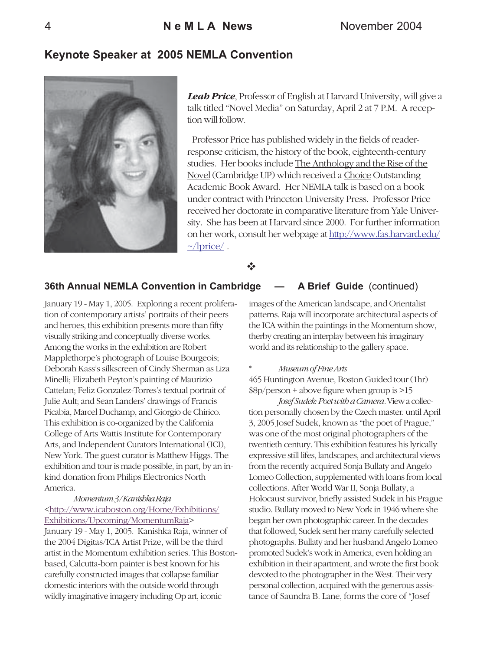### **Keynote Speaker at 2005 NEMLA Convention**



*Leah Price*, Professor of English at Harvard University, will give a talk titled "Novel Media" on Saturday, April 2 at 7 P.M. A reception will follow.

Professor Price has published widely in the fields of readerresponse criticism, the history of the book, eighteenth-century studies. Her books include The Anthology and the Rise of the Novel (Cambridge UP) which received a Choice Outstanding Academic Book Award. Her NEMLA talk is based on a book under contract with Princeton University Press. Professor Price received her doctorate in comparative literature from Yale University. She has been at Harvard since 2000. For further information on her work, consult her webpage at http://www.fas.harvard.edu/  $\sim$ /lprice/.

\*\*

#### **36th Annual NEMLA Convention in Cambridge – A Brief Guide** (continued)

January 19 - May 1, 2005. Exploring a recent proliferation of contemporary artists' portraits of their peers and heroes, this exhibition presents more than fifty visually striking and conceptually diverse works. Among the works in the exhibition are Robert Mapplethorpe's photograph of Louise Bourgeois; Deborah Kass's silkscreen of Cindy Sherman as Liza Minelli; Elizabeth Peyton's painting of Maurizio Cattelan; Feliz Gonzalez-Torres's textual portrait of Julie Ault; and Sean Landers' drawings of Francis Picabia, Marcel Duchamp, and Giorgio de Chirico. This exhibition is co-organized by the California College of Arts Wattis Institute for Contemporary Arts, and Independent Curators International (ICI), New York. The guest curator is Matthew Higgs. The exhibition and tour is made possible, in part, by an inkind donation from Philips Electronics North America.

#### *Momentum 3 / Kanishka Raja* <http://www.icaboston.org/Home/Exhibitions/ Exhibitions/Upcoming/MomentumRaja>

January 19 - May 1, 2005. Kanishka Raja, winner of the 2004 Digitas/ICA Artist Prize, will be the third artist in the Momentum exhibition series. This Bostonbased, Calcutta-born painter is best known for his carefully constructed images that collapse familiar domestic interiors with the outside world through wildly imaginative imagery including Op art, iconic

images of the American landscape, and Orientalist patterns. Raja will incorporate architectural aspects of the ICA within the paintings in the Momentum show, therby creating an interplay between his imaginary world and its relationship to the gallery space.

#### $M$ *useum of Fine Arts*

465 Huntington Avenue, Boston Guided tour (1hr) \$8p/person + above figure when group is >15

*Josef Sudek: Poet with a Camera.* View a collection personally chosen by the Czech master. until April 3, 2005 Josef Sudek, known as "the poet of Prague," was one of the most original photographers of the twentieth century. This exhibition features his lyrically expressive still lifes, landscapes, and architectural views from the recently acquired Sonja Bullaty and Angelo Lomeo Collection, supplemented with loans from local collections. After World War II, Sonja Bullaty, a Holocaust survivor, briefly assisted Sudek in his Prague studio. Bullaty moved to New York in 1946 where she began her own photographic career. In the decades that followed, Sudek sent her many carefully selected photographs. Bullaty and her husband Angelo Lomeo promoted Sudek's work in America, even holding an exhibition in their apartment, and wrote the first book devoted to the photographer in the West. Their very personal collection, acquired with the generous assistance of Saundra B. Lane, forms the core of "Josef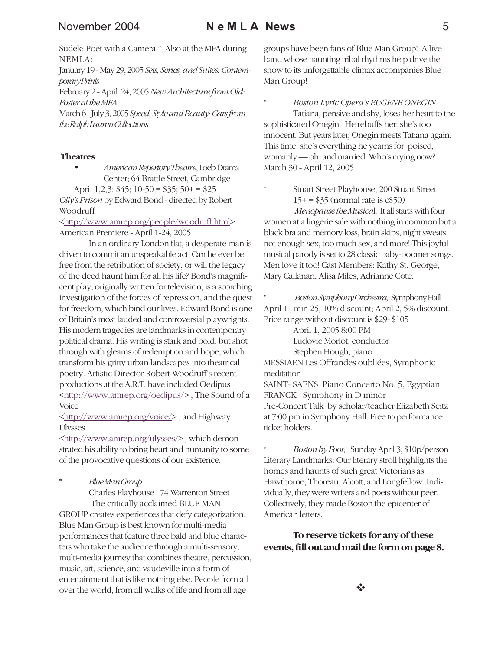### November 2004 **N e M L A News** 5

Sudek: Poet with a Camera." Also at the MFA during NEMLA:

January 19 - May 29, 2005 *Sets, Series, and Suites: Contemporary Prints*

February 2 - April 24, 2005 *New Architecture from Old: Foster at the MFA*

March 6 - July 3, 2005 *Speed, Style and Beauty: Cars from the Ralph Lauren Collections*

#### **Theatres**

• *American Repertory Theatre*, Loeb Drama Center; 64 Brattle Street, Cambridge

April 1,2,3: \$45; 10-50 = \$35; 50+ = \$25

*Olly's Prison* by Edward Bond - directed by Robert Woodruff

<http://www.amrep.org/people/woodruff.html> American Premiere - April 1-24, 2005

In an ordinary London flat, a desperate man is driven to commit an unspeakable act. Can he ever be free from the retribution of society, or will the legacy of the deed haunt him for all his life? Bond's magnificent play, originally written for television, is a scorching investigation of the forces of repression, and the quest for freedom, which bind our lives. Edward Bond is one of Britain's most lauded and controversial playwrights. His modern tragedies are landmarks in contemporary political drama. His writing is stark and bold, but shot through with gleams of redemption and hope, which transform his gritty urban landscapes into theatrical poetry. Artistic Director Robert Woodruff's recent productions at the A.R.T. have included Oedipus <http://www.amrep.org/oedipus/> , The Sound of a Voice

<http://www.amrep.org/voice/> , and Highway Ulysses

<http://www.amrep.org/ulysses/> , which demonstrated his ability to bring heart and humanity to some of the provocative questions of our existence.

\* *Blue Man Group*

Charles Playhouse ; 74 Warrenton Street The critically acclaimed BLUE MAN GROUP creates experiences that defy categorization. Blue Man Group is best known for multi-media performances that feature three bald and blue characters who take the audience through a multi-sensory, multi-media journey that combines theatre, percussion, music, art, science, and vaudeville into a form of entertainment that is like nothing else. People from all over the world, from all walks of life and from all age

groups have been fans of Blue Man Group! A live band whose haunting tribal rhythms help drive the show to its unforgettable climax accompanies Blue Man Group!

\* *Boston Lyric Opera's EUGENE ONEGIN* Tatiana, pensive and shy, loses her heart to the sophisticated Onegin. He rebuffs her: she's too innocent. But years later, Onegin meets Tatiana again. This time, she's everything he yearns for: poised, womanly — oh, and married. Who's crying now? March 30 - April 12, 2005

\* Stuart Street Playhouse; 200 Stuart Street  $15+=$ \$35 (normal rate is  $c$ \$50)

*Menopause the Musica*l. It all starts with four women at a lingerie sale with nothing in common but a black bra and memory loss, brain skips, night sweats, not enough sex, too much sex, and more! This joyful musical parody is set to 28 classic baby-boomer songs. Men love it too! Cast Members: Kathy St. George, Mary Callanan, Alisa Miles, Adrianne Cote.

\* *Boston Symphony Orchestra,* Symphony Hall April 1 , min 25, 10% discount; April 2, 5% discount. Price range without discount is \$29- \$105

> April 1, 2005 8:00 PM Ludovic Morlot, conductor

Stephen Hough, piano

MESSIAEN Les Offrandes oubliées, Symphonic meditation SAINT- SAENS Piano Concerto No. 5, Egyptian FRANCK Symphony in D minor Pre-Concert Talk by scholar/teacher Elizabeth Seitz at 7:00 pm in Symphony Hall. Free to performance ticket holders.

\* *Boston by Foot*; Sunday April 3, \$10p/person Literary Landmarks: Our literary stroll highlights the homes and haunts of such great Victorians as Hawthorne, Thoreau, Alcott, and Longfellow. Individually, they were writers and poets without peer. Collectively, they made Boston the epicenter of American letters.

### **To reserve tickets for any of these events, fill out and mail the form on page 8.**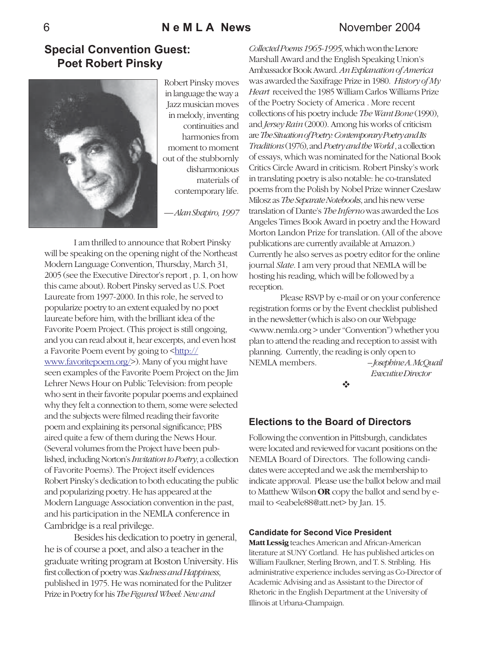### 6 **N e M L A News** November 2004

### **Special Convention Guest: Poet Robert Pinsky**



Robert Pinsky moves in language the way a Jazz musician moves in melody, inventing continuities and harmonies from moment to moment out of the stubbornly disharmonious materials of contemporary life.

— *Alan Shapiro, 1997*

I am thrilled to announce that Robert Pinsky will be speaking on the opening night of the Northeast Modern Language Convention, Thursday, March 31, 2005 (see the Executive Director's report , p. 1, on how this came about). Robert Pinsky served as U.S. Poet Laureate from 1997-2000. In this role, he served to popularize poetry to an extent equaled by no poet laureate before him, with the brilliant idea of the Favorite Poem Project. (This project is still ongoing, and you can read about it, hear excerpts, and even host a Favorite Poem event by going to  $\frac{\text{http://}}{\text{http://}}$ www.favoritepoem.org/>). Many of you might have seen examples of the Favorite Poem Project on the Jim Lehrer News Hour on Public Television: from people who sent in their favorite popular poems and explained why they felt a connection to them, some were selected and the subjects were filmed reading their favorite poem and explaining its personal significance; PBS aired quite a few of them during the News Hour. (Several volumes from the Project have been published, including Norton's *Invitation to Poetry*, a collection of Favorite Poems). The Project itself evidences Robert Pinsky's dedication to both educating the public and popularizing poetry. He has appeared at the Modern Language Association convention in the past, and his participation in the NEMLA conference in Cambridge is a real privilege.

Besides his dedication to poetry in general, he is of course a poet, and also a teacher in the graduate writing program at Boston University. His first collection of poetry was *Sadness and Happiness*, published in 1975. He was nominated for the Pulitzer Prize in Poetry for his *The Figured Wheel: New and*

*Collected Poems 1965-1995*, which won the Lenore Marshall Award and the English Speaking Union's Ambassador Book Award. *An Explanation of America* was awarded the Saxifrage Prize in 1980. *History of My Heart* received the 1985 William Carlos Williams Prize of the Poetry Society of America . More recent collections of his poetry include *The Want Bone* (1990), and *Jersey Rain* (2000). Among his works of criticism are *The Situation of Poetry: Contemporary Poetry and Its Traditions* (1976), and *Poetry and the World* , a collection of essays, which was nominated for the National Book Critics Circle Award in criticism. Robert Pinsky's work in translating poetry is also notable: he co-translated poems from the Polish by Nobel Prize winner Czeslaw Milosz as *The Separate Notebooks*, and his new verse translation of Dante's *The Inferno* was awarded the Los Angeles Times Book Award in poetry and the Howard Morton Landon Prize for translation. (All of the above publications are currently available at Amazon.) Currently he also serves as poetry editor for the online journal *Slate*. I am very proud that NEMLA will be hosting his reading, which will be followed by a reception.

 Please RSVP by e-mail or on your conference registration forms or by the Event checklist published in the newsletter (which is also on our Webpage <www.nemla.org > under "Convention") whether you plan to attend the reading and reception to assist with planning. Currently, the reading is only open to NEMLA members. *-- Josephine A. McQuail*

!

 *Executive Director*

### **Elections to the Board of Directors**

Following the convention in Pittsburgh, candidates were located and reviewed for vacant positions on the NEMLA Board of Directors. The following candidates were accepted and we ask the membership to indicate approval. Please use the ballot below and mail to Matthew Wilson **OR** copy the ballot and send by email to <eabele88@att.net> by Jan. 15.

#### **Candidate for Second Vice President**

**Matt Lessig** teaches American and African-American literature at SUNY Cortland. He has published articles on William Faulkner, Sterling Brown, and T. S. Stribling. His administrative experience includes serving as Co-Director of Academic Advising and as Assistant to the Director of Rhetoric in the English Department at the University of Illinois at Urbana-Champaign.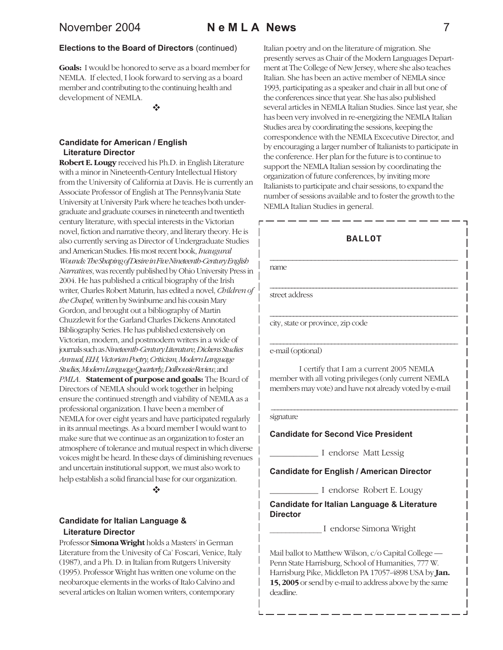### November 2004 **N e M L A News** 7

#### **Elections to the Board of Directors** (continued)

**Goals:** I would be honored to serve as a board member for NEMLA. If elected, I look forward to serving as a board member and contributing to the continuing health and development of NEMLA.

\*\*

#### **Candidate for American / English Literature Director**

**Robert E. Lougy** received his Ph.D. in English Literature with a minor in Nineteenth-Century Intellectual History from the University of California at Davis. He is currently an Associate Professor of English at The Pennsylvania State University at University Park where he teaches both undergraduate and graduate courses in nineteenth and twentieth century literature, with special interests in the Victorian novel, fiction and narrative theory, and literary theory. He is also currently serving as Director of Undergraduate Studies and American Studies. His most recent book, *Inaugural Wounds: The Shaping of Desire in Five Nineteenth-Century English Narratives*, was recently published by Ohio University Press in 2004. He has published a critical biography of the Irish writer, Charles Robert Maturin, has edited a novel, *Children of the Chapel,* written by Swinburne and his cousin Mary Gordon, and brought out a bibliography of Martin Chuzzlewit for the Garland Charles Dickens Annotated Bibliography Series. He has published extensively on Victorian, modern, and postmodern writers in a wide of journals such as *Nineteenth-Century Literature, Dickens Studies Annual, ELH, Victorian Poetry, Criticism, Modern Language Studies, Modern Language Quarterly, Dalhousie Review,* and *PMLA*. **Statement of purpose and goals:** The Board of Directors of NEMLA should work together in helping ensure the continued strength and viability of NEMLA as a professional organization. I have been a member of NEMLA for over eight years and have participated regularly in its annual meetings. As a board member I would want to make sure that we continue as an organization to foster an atmosphere of tolerance and mutual respect in which diverse voices might be heard. In these days of diminishing revenues and uncertain institutional support, we must also work to help establish a solid financial base for our organization.

#### $\ddot{\bullet}$

#### **Candidate for Italian Language & Literature Director**

Professor **Simona Wright** holds a Masters' in German Literature from the Univesity of Ca' Foscari, Venice, Italy (1987), and a Ph. D. in Italian from Rutgers University (1995). Professor Wright has written one volume on the neobaroque elements in the works of Italo Calvino and several articles on Italian women writers, contemporary

Italian poetry and on the literature of migration. She presently serves as Chair of the Modern Languages Department at The College of New Jersey, where she also teaches Italian. She has been an active member of NEMLA since 1993, participating as a speaker and chair in all but one of the conferences since that year. She has also published several articles in NEMLA Italian Studies. Since last year, she has been very involved in re-energizing the NEMLA Italian Studies area by coordinating the sessions, keeping the correspondence with the NEMLA Excecutive Director, and by encouraging a larger number of Italianists to participate in the conference. Her plan for the future is to continue to support the NEMLA Italian session by coordinating the organization of future conferences, by inviting more Italianists to participate and chair sessions, to expand the number of sessions available and to foster the growth to the NEMLA Italian Studies in general.

#### **BALLOT**

\_\_\_\_\_\_\_\_\_\_\_\_\_\_\_\_\_\_\_\_\_\_\_\_\_\_\_\_\_\_\_\_\_\_\_\_\_\_\_\_\_\_\_\_\_\_\_\_\_\_\_\_\_\_\_\_\_\_\_\_\_

\_\_\_\_\_\_\_\_\_\_\_\_\_\_\_\_\_\_\_\_\_\_\_\_\_\_\_\_\_\_\_\_\_\_\_\_\_\_\_\_\_\_\_\_\_\_\_\_\_\_\_\_\_\_\_\_

\_\_\_\_\_\_\_\_\_\_\_\_\_\_\_\_\_\_\_\_\_\_\_\_\_\_\_\_\_\_\_\_\_\_\_\_\_\_\_\_\_\_\_\_\_\_\_\_\_\_\_\_\_\_\_

\_\_\_\_\_\_\_\_\_\_\_\_\_\_\_\_\_\_\_\_\_\_\_\_\_\_\_\_\_\_\_\_\_\_\_\_\_\_\_\_\_\_\_\_\_\_\_\_\_\_ name

street address

city, state or province, zip code

e-mail (optional)

I certify that I am a current 2005 NEMLA member with all voting privileges (only current NEMLA members may vote) and have not already voted by e-mail

#### signature

#### **Candidate for Second Vice President**

**\_\_\_\_\_\_\_\_\_\_\_\_** I endorse Matt Lessig

\_\_\_\_\_\_\_\_\_\_\_\_\_\_\_\_\_\_\_\_\_\_\_\_\_\_\_\_\_\_\_\_\_\_\_\_\_\_\_\_\_\_\_\_\_\_\_\_\_\_\_\_\_\_\_\_

#### **Candidate for English / American Director**

**\_\_\_\_\_\_\_\_\_\_\_\_** I endorse Robert E. Lougy

#### **Candidate for Italian Language & Literature Director**

\_\_\_\_\_\_\_\_\_\_\_\_\_ I endorse Simona Wright

Mail ballot to Matthew Wilson, c/o Capital College — Penn State Harrisburg, School of Humanities, 777 W. Harrisburg Pike, Middleton PA 17057-4898 USA by **Jan. 15, 2005** or send by e-mail to address above by the same deadline.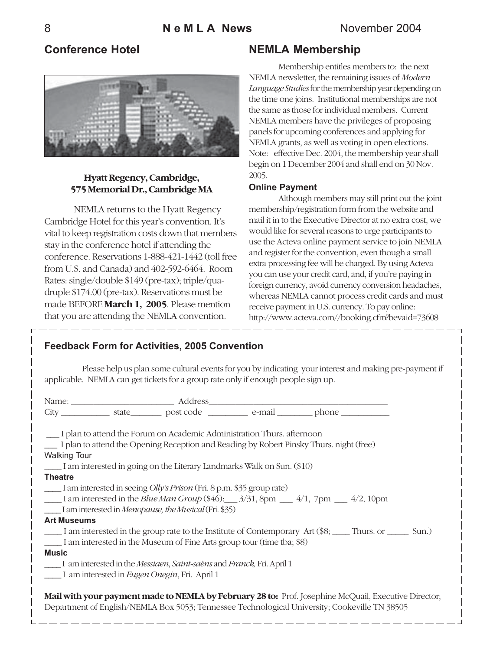### **Conference Hotel**



### **Hyatt Regency, Cambridge, 575 Memorial Dr., Cambridge MA**

NEMLA returns to the Hyatt Regency Cambridge Hotel for this year's convention. It's vital to keep registration costs down that members stay in the conference hotel if attending the conference. Reservations 1-888-421-1442 (toll free from U.S. and Canada) and 402-592-6464. Room Rates: single/double \$149 (pre-tax); triple/quadruple \$174.00 (pre-tax). Reservations must be made BEFORE **March 1, 2005**. Please mention that you are attending the NEMLA convention.

### **NEMLA Membership**

Membership entitles members to: the next NEMLA newsletter, the remaining issues of *Modern Language Studies* for the membership year depending on the time one joins. Institutional memberships are not the same as those for individual members. Current NEMLA members have the privileges of proposing panels for upcoming conferences and applying for NEMLA grants, as well as voting in open elections. Note: effective Dec. 2004, the membership year shall begin on 1 December 2004 and shall end on 30 Nov. 2005.

### **Online Payment**

Although members may still print out the joint membership/registration form from the website and mail it in to the Executive Director at no extra cost, we would like for several reasons to urge participants to use the Acteva online payment service to join NEMLA and register for the convention, even though a small extra processing fee will be charged. By using Acteva you can use your credit card, and, if you're paying in foreign currency, avoid currency conversion headaches, whereas NEMLA cannot process credit cards and must receive payment in U.S. currency. To pay online: http://www.acteva.com//booking.cfm?bevaid=73608

### **Feedback Form for Activities, 2005 Convention**

Please help us plan some cultural events for you by indicating your interest and making pre-payment if applicable. NEMLA can get tickets for a group rate only if enough people sign up.

|                     |                                                                              | City _____________ state __________ post code ____________ e-mail _________ phone _________________                |  |
|---------------------|------------------------------------------------------------------------------|--------------------------------------------------------------------------------------------------------------------|--|
|                     |                                                                              |                                                                                                                    |  |
|                     | __ I plan to attend the Forum on Academic Administration Thurs. afternoon    |                                                                                                                    |  |
|                     |                                                                              | I plan to attend the Opening Reception and Reading by Robert Pinsky Thurs. night (free)                            |  |
| <b>Walking Tour</b> |                                                                              |                                                                                                                    |  |
|                     | I am interested in going on the Literary Landmarks Walk on Sun. (\$10)       |                                                                                                                    |  |
| <b>Theatre</b>      |                                                                              |                                                                                                                    |  |
|                     | I am interested in seeing <i>Olly's Prison</i> (Fri. 8 p.m. \$35 group rate) |                                                                                                                    |  |
|                     |                                                                              | 1 am interested in the <i>Blue Man Group</i> (\$46): $\frac{3}{31}$ , 8pm $\frac{4}{1}$ , 7pm $\frac{4}{2}$ , 10pm |  |
|                     | I am interested in Menopause, the Musical (Fri. \$35)                        |                                                                                                                    |  |
| <b>Art Museums</b>  |                                                                              |                                                                                                                    |  |
|                     |                                                                              | I am interested in the group rate to the Institute of Contemporary Art (\$8; Thurs. or Sun.)                       |  |
|                     | I am interested in the Museum of Fine Arts group tour (time tba; \$8)        |                                                                                                                    |  |
| <b>Music</b>        |                                                                              |                                                                                                                    |  |
|                     | I am interested in the Messiaen, Saint-saëns and Franck, Fri. April 1        |                                                                                                                    |  |
|                     | I am interested in <i>Eugen Onegin</i> , Fri. April 1                        |                                                                                                                    |  |
|                     |                                                                              |                                                                                                                    |  |
|                     |                                                                              | Mail with your payment made to NEMLA by February 28 to: Prof. Josephine McQuail, Executive Director;               |  |
|                     |                                                                              | Department of English/NEMLA Box 5053; Tennessee Technological University; Cookeville TN 38505                      |  |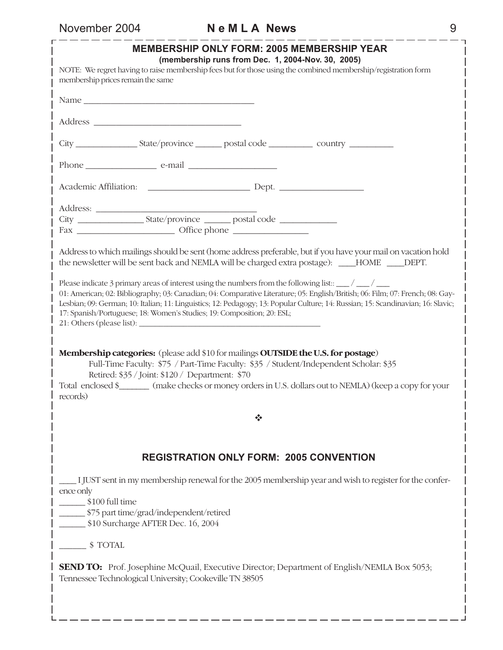L

# November 2004 **N e M L A News** 9

| <b>MEMBERSHIP ONLY FORM: 2005 MEMBERSHIP YEAR</b><br>(membership runs from Dec. 1, 2004-Nov. 30, 2005)                                                                                                                                                                                                                                                                                                                                                                                                                                                                                                                                                                                       |  |  |  |  |  |
|----------------------------------------------------------------------------------------------------------------------------------------------------------------------------------------------------------------------------------------------------------------------------------------------------------------------------------------------------------------------------------------------------------------------------------------------------------------------------------------------------------------------------------------------------------------------------------------------------------------------------------------------------------------------------------------------|--|--|--|--|--|
| NOTE: We regret having to raise membership fees but for those using the combined membership/registration form<br>membership prices remain the same                                                                                                                                                                                                                                                                                                                                                                                                                                                                                                                                           |  |  |  |  |  |
|                                                                                                                                                                                                                                                                                                                                                                                                                                                                                                                                                                                                                                                                                              |  |  |  |  |  |
|                                                                                                                                                                                                                                                                                                                                                                                                                                                                                                                                                                                                                                                                                              |  |  |  |  |  |
|                                                                                                                                                                                                                                                                                                                                                                                                                                                                                                                                                                                                                                                                                              |  |  |  |  |  |
|                                                                                                                                                                                                                                                                                                                                                                                                                                                                                                                                                                                                                                                                                              |  |  |  |  |  |
|                                                                                                                                                                                                                                                                                                                                                                                                                                                                                                                                                                                                                                                                                              |  |  |  |  |  |
|                                                                                                                                                                                                                                                                                                                                                                                                                                                                                                                                                                                                                                                                                              |  |  |  |  |  |
| Address to which mailings should be sent (home address preferable, but if you have your mail on vacation hold<br>the newsletter will be sent back and NEMLA will be charged extra postage): ____HOME ____DEPT.                                                                                                                                                                                                                                                                                                                                                                                                                                                                               |  |  |  |  |  |
| Please indicate 3 primary areas of interest using the numbers from the following list:: $\frac{1}{\sqrt{1-\frac{1}{1-\frac{1}{1-\frac{1}{1-\frac{1}{1-\frac{1}{1-\frac{1}{1-\frac{1}{1-\frac{1}{1-\frac{1}{1-\frac{1}{1-\frac{1}{1-\frac{1}{1-\frac{1}{1-\frac{1}{1-\frac{1}{1-\frac{1}{1-\frac{1}{1-\frac{1}{1-\frac{1}{1-\frac{1}{1-\frac{$<br>01: American; 02: Bibliography; 03: Canadian; 04: Comparative Literature; 05: English/British; 06: Film; 07: French; 08: Gay-<br>Lesbian; 09: German; 10: Italian; 11: Linguistics; 12: Pedagogy; 13: Popular Culture; 14: Russian; 15: Scandinavian; 16: Slavic;<br>17: Spanish/Portuguese; 18: Women's Studies; 19: Composition; 20: ESL; |  |  |  |  |  |
| Membership categories: (please add \$10 for mailings OUTSIDE the U.S. for postage)<br>Full-Time Faculty: \$75 / Part-Time Faculty: \$35 / Student/Independent Scholar: \$35<br>Retired: \$35 / Joint: \$120 / Department: \$70<br>Total enclosed \$________ (make checks or money orders in U.S. dollars out to NEMLA) (keep a copy for your<br>records)                                                                                                                                                                                                                                                                                                                                     |  |  |  |  |  |
| ❖                                                                                                                                                                                                                                                                                                                                                                                                                                                                                                                                                                                                                                                                                            |  |  |  |  |  |
| <b>REGISTRATION ONLY FORM: 2005 CONVENTION</b>                                                                                                                                                                                                                                                                                                                                                                                                                                                                                                                                                                                                                                               |  |  |  |  |  |
| I JUST sent in my membership renewal for the 2005 membership year and wish to register for the confer-<br>ence only<br>\$100 full time<br>\$75 part time/grad/independent/retired<br>\$10 Surcharge AFTER Dec. 16, 2004                                                                                                                                                                                                                                                                                                                                                                                                                                                                      |  |  |  |  |  |
| $\frac{\ }{2}$ \$ TOTAL                                                                                                                                                                                                                                                                                                                                                                                                                                                                                                                                                                                                                                                                      |  |  |  |  |  |
| <b>SEND TO:</b> Prof. Josephine McQuail, Executive Director; Department of English/NEMLA Box 5053;<br>Tennessee Technological University; Cookeville TN 38505                                                                                                                                                                                                                                                                                                                                                                                                                                                                                                                                |  |  |  |  |  |
|                                                                                                                                                                                                                                                                                                                                                                                                                                                                                                                                                                                                                                                                                              |  |  |  |  |  |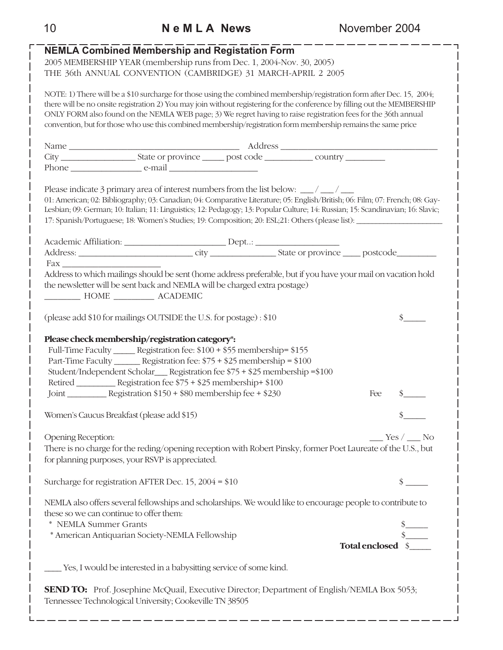# **NEMLA Combined Membership and Registation Form** 2005 MEMBERSHIP YEAR (membership runs from Dec. 1, 2004-Nov. 30, 2005) THE 36th ANNUAL CONVENTION (CAMBRIDGE) 31 MARCH-APRIL 2 2005 NOTE: 1) There will be a \$10 surcharge for those using the combined membership/registration form after Dec. 15, 2004; there will be no onsite registration 2) You may join without registering for the conference by filling out the MEMBERSHIP ONLY FORM also found on the NEMLA WEB page; 3) We regret having to raise registration fees for the 36th annual convention, but for those who use this combined membership/registration form membership remains the same price Name \_\_\_\_\_\_\_\_\_\_\_\_\_\_\_\_\_\_\_\_\_\_\_\_\_\_\_\_\_\_\_\_\_\_\_\_\_\_ Address \_\_\_\_\_\_\_\_\_\_\_\_\_\_\_\_\_\_\_\_\_\_\_\_\_\_\_\_\_\_\_\_\_\_\_ City \_\_\_\_\_\_\_\_\_\_\_\_\_\_\_\_\_ State or province \_\_\_\_\_ post code \_\_\_\_\_\_\_\_\_\_\_ country \_\_\_\_\_\_\_\_\_ Phone e-mail  $e$ -mail  $e$ -mail  $e$ -mail  $e$ -mail  $e$ -mail  $e$ -mail  $e$ -mail  $e$ -mail  $e$ -mail  $e$ -mail  $e$ -mail  $e$ -mail  $e$ -mail  $e$ -mail  $e$ -mail  $e$ -mail  $e$ -mail  $e$ -mail  $e$ -mail  $e$ -mail  $e$ -mail  $e$ -mail  $e$ -mail  $e$ Please indicate 3 primary area of interest numbers from the list below:  $\frac{1}{\sqrt{2}}$ 01: American; 02: Bibliography; 03: Canadian; 04: Comparative Literature; 05: English/British; 06: Film; 07: French; 08: Gay-Lesbian; 09: German; 10: Italian; 11: Linguistics; 12: Pedagogy; 13: Popular Culture; 14: Russian; 15: Scandinavian; 16: Slavic; 17: Spanish/Portuguese; 18: Women's Studies; 19: Composition; 20: ESL;21: Others (please list): \_\_\_\_\_\_\_\_\_\_\_\_\_\_\_\_\_\_\_\_\_\_ Academic Affiliation: \_\_\_\_\_\_\_\_\_\_\_\_\_\_\_\_\_\_\_\_\_\_\_\_\_\_\_\_\_\_\_\_Dept..: \_\_\_\_\_\_\_\_\_\_\_\_\_\_\_\_\_\_\_ Address: \_\_\_\_\_\_\_\_\_\_\_\_\_\_\_\_\_\_\_\_\_\_\_\_\_\_ city \_\_\_\_\_\_\_\_\_\_\_\_\_\_\_ State or province \_\_\_\_ postcode\_\_\_\_\_\_\_\_\_ Fax \_\_\_\_\_\_\_\_\_\_\_\_\_\_\_\_\_\_\_\_\_\_ Address to which mailings should be sent (home address preferable, but if you have your mail on vacation hold the newsletter will be sent back and NEMLA will be charged extra postage) \_\_\_\_\_\_\_\_ HOME \_\_\_\_\_\_\_\_\_ ACADEMIC (please add \$10 for mailings OUTSIDE the U.S. for postage) : \$10 \$ **Please check membership/registration category\*:** Full-Time Faculty \_\_\_\_\_ Registration fee: \$100 + \$55 membership= \$155 Part-Time Faculty \_\_\_\_\_\_ Registration fee: \$75 + \$25 membership = \$100 Student/Independent Scholar\_\_\_ Registration fee \$75 + \$25 membership =\$100 Retired \_\_\_\_\_\_\_\_\_ Registration fee \$75 + \$25 membership+ \$100 Joint Registration  $$150 + $80$  membership fee  $+ $230$  Fee  $\$$ Women's Caucus Breakfast (please add \$15) \$\_\_\_\_\_ Opening Reception: \_\_\_\_ Yes / \_\_\_ No There is no charge for the reding/opening reception with Robert Pinsky, former Poet Laureate of the U.S., but for planning purposes, your RSVP is appreciated. Surcharge for registration AFTER Dec.  $15, 2004 = $10$  \$ NEMLA also offers several fellowships and scholarships. We would like to encourage people to contribute to these so we can continue to offer them: \* NEMLA Summer Grants<br>
\* American Antiquarian Society-NEMLA Fellowship<br>
\* American Antiquarian Society-NEMLA Fellowship \* American Antiquarian Society-NEMLA Fellowship \$\_\_\_\_\_ **Total enclosed** \$\_\_\_\_\_ \_\_\_\_ Yes, I would be interested in a babysitting service of some kind. **SEND TO:** Prof. Josephine McQuail, Executive Director; Department of English/NEMLA Box 5053; Tennessee Technological University; Cookeville TN 38505

### 10 **N e M L A News** November 2004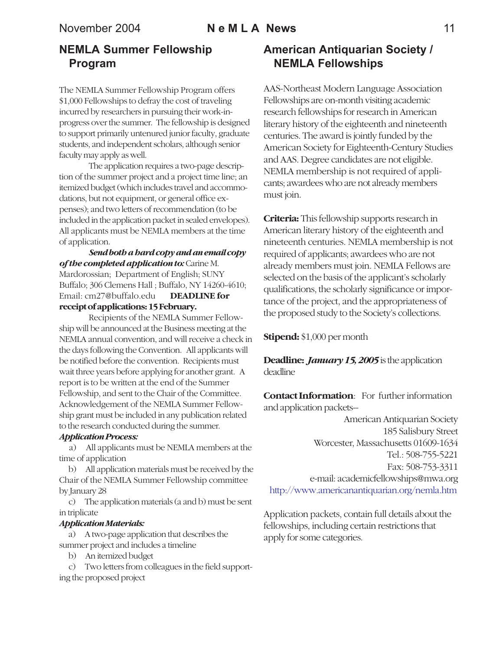### November 2004 **N e M L A News** 11

# **NEMLA Summer Fellowship Program**

The NEMLA Summer Fellowship Program offers \$1,000 Fellowships to defray the cost of traveling incurred by researchers in pursuing their work-inprogress over the summer. The fellowship is designed to support primarily untenured junior faculty, graduate students, and independent scholars, although senior faculty may apply as well.

The application requires a two-page description of the summer project and a project time line; an itemized budget (which includes travel and accommodations, but not equipment, or general office expenses); and two letters of recommendation (to be included in the application packet in sealed envelopes). All applicants must be NEMLA members at the time of application.

*Send both a hard copy and an email copy of the completed application to:* Carine M. Mardorossian; Department of English; SUNY Buffalo; 306 Clemens Hall ; Buffalo, NY 14260-4610; Email: cm27@buffalo.edu **DEADLINE for receipt of applications: 15 February.**

Recipients of the NEMLA Summer Fellowship will be announced at the Business meeting at the NEMLA annual convention, and will receive a check in the days following the Convention. All applicants will be notified before the convention. Recipients must wait three years before applying for another grant. A report is to be written at the end of the Summer Fellowship, and sent to the Chair of the Committee. Acknowledgement of the NEMLA Summer Fellowship grant must be included in any publication related to the research conducted during the summer.

#### *Application Process:*

 a) All applicants must be NEMLA members at the time of application

 b) All application materials must be received by the Chair of the NEMLA Summer Fellowship committee by January 28

 c) The application materials (a and b) must be sent in triplicate

#### *Application Materials:*

 a) A two-page application that describes the summer project and includes a timeline

- b) An itemized budget
- c) Two letters from colleagues in the field supporting the proposed project

# **American Antiquarian Society / NEMLA Fellowships**

AAS-Northeast Modern Language Association Fellowships are on-month visiting academic research fellowships for research in American literary history of the eighteenth and nineteenth centuries. The award is jointly funded by the American Society for Eighteenth-Century Studies and AAS. Degree candidates are not eligible. NEMLA membership is not required of applicants; awardees who are not already members must join.

**Criteria:** This fellowship supports research in American literary history of the eighteenth and nineteenth centuries. NEMLA membership is not required of applicants; awardees who are not already members must join. NEMLA Fellows are selected on the basis of the applicant's scholarly qualifications, the scholarly significance or importance of the project, and the appropriateness of the proposed study to the Society's collections.

**Stipend:** \$1,000 per month

**Deadline:** *January 15, 2005* is the application deadline

**Contact Information**: For further information and application packets--

American Antiquarian Society 185 Salisbury Street Worcester, Massachusetts 01609-1634 Tel.: 508-755-5221 Fax: 508-753-3311 e-mail: academicfellowships@mwa.org http://www.americanantiquarian.org/nemla.htm

Application packets, contain full details about the fellowships, including certain restrictions that apply for some categories.